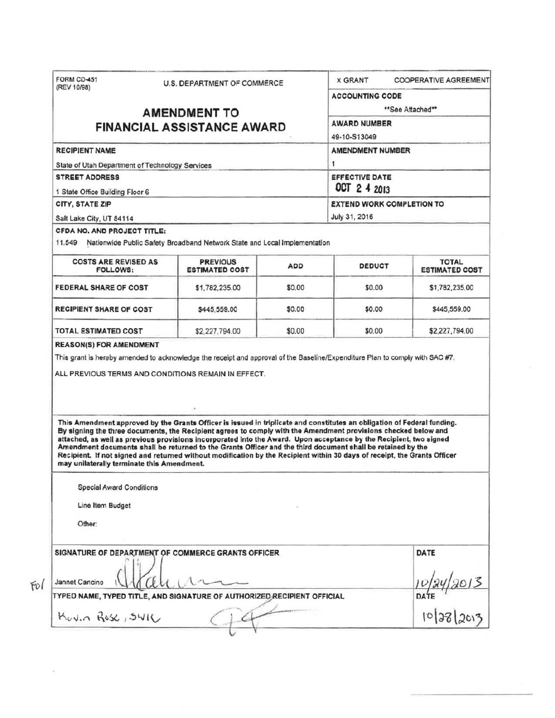| (REV 10/98)                                                                                                                                                                                                           | U.S. DEPARTMENT OF COMMERCE                                                                                                                                                                                                                                                                                                                                                                                                                                                      |        | <b>X GRANT</b>                                                                                  | <b>COOPERATIVE AGREEMENT</b>     |  |                                         |                                                                           |            |               |                                       |
|-----------------------------------------------------------------------------------------------------------------------------------------------------------------------------------------------------------------------|----------------------------------------------------------------------------------------------------------------------------------------------------------------------------------------------------------------------------------------------------------------------------------------------------------------------------------------------------------------------------------------------------------------------------------------------------------------------------------|--------|-------------------------------------------------------------------------------------------------|----------------------------------|--|-----------------------------------------|---------------------------------------------------------------------------|------------|---------------|---------------------------------------|
|                                                                                                                                                                                                                       |                                                                                                                                                                                                                                                                                                                                                                                                                                                                                  |        | <b>ACCOUNTING CODE</b>                                                                          |                                  |  |                                         |                                                                           |            |               |                                       |
|                                                                                                                                                                                                                       | <b>AMENDMENT TO</b>                                                                                                                                                                                                                                                                                                                                                                                                                                                              |        | **See Attached**                                                                                |                                  |  |                                         |                                                                           |            |               |                                       |
|                                                                                                                                                                                                                       | <b>FINANCIAL ASSISTANCE AWARD</b>                                                                                                                                                                                                                                                                                                                                                                                                                                                |        | <b>AWARD NUMBER</b>                                                                             |                                  |  |                                         |                                                                           |            |               |                                       |
|                                                                                                                                                                                                                       |                                                                                                                                                                                                                                                                                                                                                                                                                                                                                  |        | 49-10-S13049                                                                                    |                                  |  |                                         |                                                                           |            |               |                                       |
| <b>RECIPIENT NAME</b>                                                                                                                                                                                                 |                                                                                                                                                                                                                                                                                                                                                                                                                                                                                  |        | <b>AMENDMENT NUMBER</b>                                                                         |                                  |  |                                         |                                                                           |            |               |                                       |
| State of Utah Department of Technology Services<br><b>STREET ADDRESS</b><br>1 State Office Building Floor 6<br>CITY, STATE ZIP<br>Salt Lake City, UT 84114                                                            |                                                                                                                                                                                                                                                                                                                                                                                                                                                                                  |        | 1<br><b>EFFECTIVE DATE</b><br>OCT 2 4 2013<br><b>EXTEND WORK COMPLETION TO</b><br>July 31, 2016 |                                  |  |                                         |                                                                           |            |               |                                       |
|                                                                                                                                                                                                                       |                                                                                                                                                                                                                                                                                                                                                                                                                                                                                  |        |                                                                                                 |                                  |  | CFDA NO. AND PROJECT TITLE:<br>11.549   | Nationwide Public Safety Broadband Network State and Local Implementation |            |               |                                       |
|                                                                                                                                                                                                                       |                                                                                                                                                                                                                                                                                                                                                                                                                                                                                  |        |                                                                                                 |                                  |  | <b>COSTS ARE REVISED AS</b><br>FOLLOWS: | <b>PREVIOUS</b><br><b>ESTIMATED COST</b>                                  | <b>ADD</b> | <b>DEDUCT</b> | <b>TOTAL</b><br><b>ESTIMATED COST</b> |
|                                                                                                                                                                                                                       |                                                                                                                                                                                                                                                                                                                                                                                                                                                                                  |        |                                                                                                 |                                  |  | <b>FEDERAL SHARE OF COST</b>            | \$1,782,235.00                                                            | \$0.00     | \$0.00        | \$1,782,235.00                        |
|                                                                                                                                                                                                                       |                                                                                                                                                                                                                                                                                                                                                                                                                                                                                  |        |                                                                                                 |                                  |  | RECIPIENT SHARE OF COST                 | \$445,559.00                                                              | \$0.00     | \$0.00        | \$445,559.00                          |
| TOTAL ESTIMATED COST                                                                                                                                                                                                  | \$2,227,794.00                                                                                                                                                                                                                                                                                                                                                                                                                                                                   | \$0.00 | \$0.00                                                                                          | \$2,227,794.00                   |  |                                         |                                                                           |            |               |                                       |
|                                                                                                                                                                                                                       |                                                                                                                                                                                                                                                                                                                                                                                                                                                                                  |        |                                                                                                 |                                  |  |                                         |                                                                           |            |               |                                       |
| <b>REASON(S) FOR AMENDMENT</b><br>This grant is hereby amended to acknowledge the receipt and approval of the Baseline/Expenditure Plan to comply with SAC #7.<br>ALL PREVIOUS TERMS AND CONDITIONS REMAIN IN EFFECT. |                                                                                                                                                                                                                                                                                                                                                                                                                                                                                  |        |                                                                                                 |                                  |  |                                         |                                                                           |            |               |                                       |
|                                                                                                                                                                                                                       | This Amendment approved by the Grants Officer is issued in triplicate and constitutes an obligation of Federal funding.                                                                                                                                                                                                                                                                                                                                                          |        |                                                                                                 |                                  |  |                                         |                                                                           |            |               |                                       |
| may unilaterally terminate this Amendment.<br><b>Special Award Conditions</b><br>Line Item Budget                                                                                                                     | By signing the three documents, the Recipient agrees to comply with the Amendment provisions checked below and<br>attached, as well as previous provisions incorporated into the Award. Upon acceptance by the Recipient, two signed<br>Amendment documents shall be returned to the Grants Officer and the third document shall be retained by the<br>Recipient. If not signed and returned without modification by the Recipient within 30 days of receipt, the Grants Officer |        |                                                                                                 |                                  |  |                                         |                                                                           |            |               |                                       |
| Other:                                                                                                                                                                                                                |                                                                                                                                                                                                                                                                                                                                                                                                                                                                                  |        |                                                                                                 |                                  |  |                                         |                                                                           |            |               |                                       |
| SIGNATURE OF DEPARTMENT OF COMMERCE GRANTS OFFICER<br>Jannet Cancino                                                                                                                                                  |                                                                                                                                                                                                                                                                                                                                                                                                                                                                                  |        |                                                                                                 | DATE                             |  |                                         |                                                                           |            |               |                                       |
| TYPED NAME, TYPED TITLE, AND SIGNATURE OF AUTHORIZED RECIPIENT OFFICIAL                                                                                                                                               |                                                                                                                                                                                                                                                                                                                                                                                                                                                                                  |        |                                                                                                 | 10/24/2013<br>DATE<br>10/38/2013 |  |                                         |                                                                           |            |               |                                       |